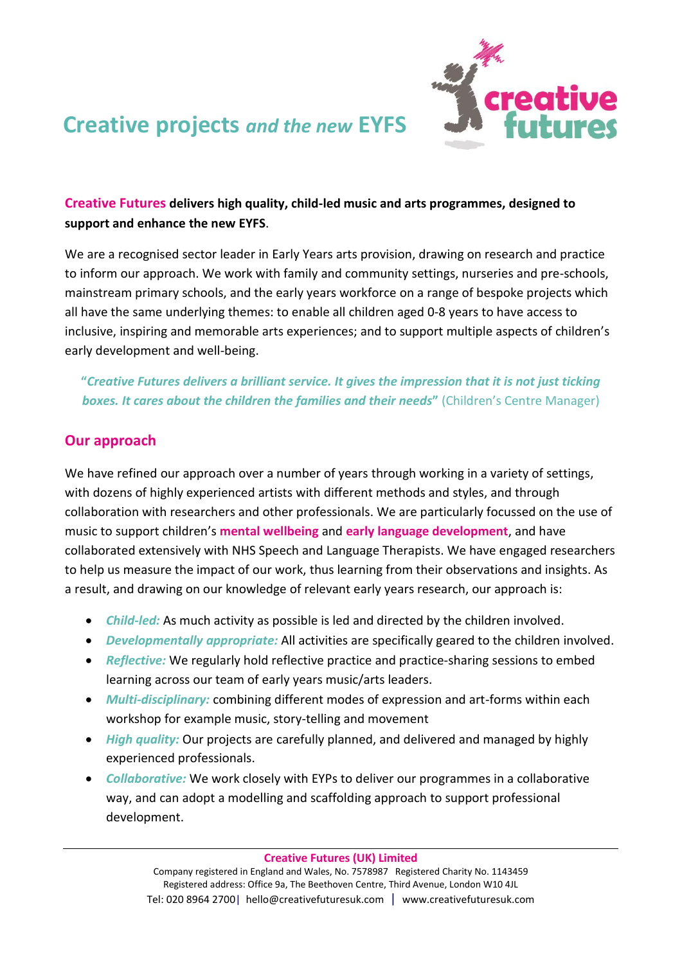

# **Creative projects** *and the new* **EYFS**

# **Creative Futures delivers high quality, child-led music and arts programmes, designed to support and enhance the new EYFS**.

We are a recognised sector leader in Early Years arts provision, drawing on research and practice to inform our approach. We work with family and community settings, nurseries and pre-schools, mainstream primary schools, and the early years workforce on a range of bespoke projects which all have the same underlying themes: to enable all children aged 0-8 years to have access to inclusive, inspiring and memorable arts experiences; and to support multiple aspects of children's early development and well-being.

# **"***Creative Futures delivers a brilliant service. It gives the impression that it is not just ticking boxes. It cares about the children the families and their needs***"** (Children's Centre Manager)

# **Our approach**

We have refined our approach over a number of years through working in a variety of settings, with dozens of highly experienced artists with different methods and styles, and through collaboration with researchers and other professionals. We are particularly focussed on the use of music to support children's **mental wellbeing** and **early language development**, and have collaborated extensively with NHS Speech and Language Therapists. We have engaged researchers to help us measure the impact of our work, thus learning from their observations and insights. As a result, and drawing on our knowledge of relevant early years research, our approach is:

- *Child-led:* As much activity as possible is led and directed by the children involved.
- *Developmentally appropriate:* All activities are specifically geared to the children involved.
- *Reflective:* We regularly hold reflective practice and practice-sharing sessions to embed learning across our team of early years music/arts leaders.
- *Multi-disciplinary:* combining different modes of expression and art-forms within each workshop for example music, story-telling and movement
- *High quality:* Our projects are carefully planned, and delivered and managed by highly experienced professionals.
- *Collaborative:* We work closely with EYPs to deliver our programmes in a collaborative way, and can adopt a modelling and scaffolding approach to support professional development.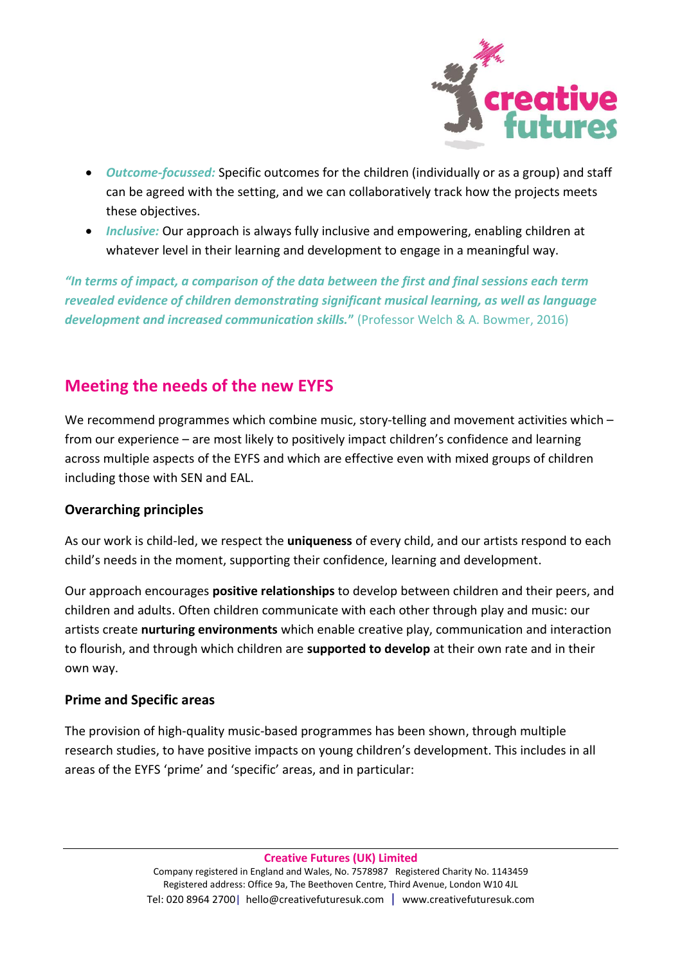

- *Outcome-focussed:* Specific outcomes for the children (individually or as a group) and staff can be agreed with the setting, and we can collaboratively track how the projects meets these objectives.
- *Inclusive:* Our approach is always fully inclusive and empowering, enabling children at whatever level in their learning and development to engage in a meaningful way.

*"In terms of impact, a comparison of the data between the first and final sessions each term revealed evidence of children demonstrating significant musical learning, as well as language development and increased communication skills.***"** (Professor Welch & A. Bowmer, 2016)

# **Meeting the needs of the new EYFS**

We recommend programmes which combine music, story-telling and movement activities which – from our experience – are most likely to positively impact children's confidence and learning across multiple aspects of the EYFS and which are effective even with mixed groups of children including those with SEN and EAL.

### **Overarching principles**

As our work is child-led, we respect the **uniqueness** of every child, and our artists respond to each child's needs in the moment, supporting their confidence, learning and development.

Our approach encourages **positive relationships** to develop between children and their peers, and children and adults. Often children communicate with each other through play and music: our artists create **nurturing environments** which enable creative play, communication and interaction to flourish, and through which children are **supported to develop** at their own rate and in their own way.

### **Prime and Specific areas**

The provision of high-quality music-based programmes has been shown, through multiple research studies, to have positive impacts on young children's development. This includes in all areas of the EYFS 'prime' and 'specific' areas, and in particular: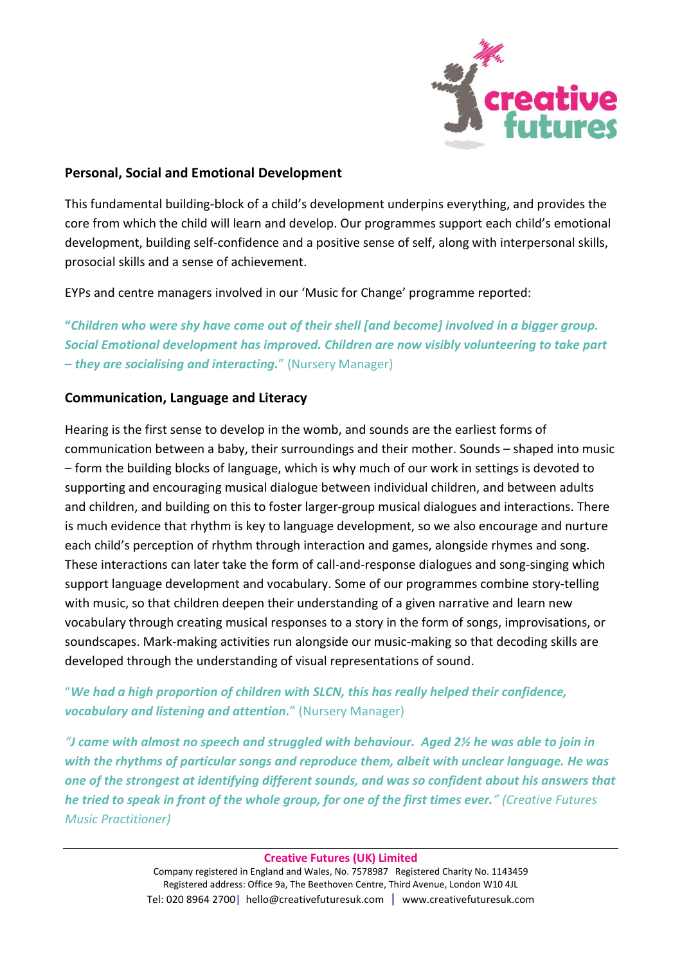

### **Personal, Social and Emotional Development**

This fundamental building-block of a child's development underpins everything, and provides the core from which the child will learn and develop. Our programmes support each child's emotional development, building self-confidence and a positive sense of self, along with interpersonal skills, prosocial skills and a sense of achievement.

EYPs and centre managers involved in our 'Music for Change' programme reported:

**"***Children who were shy have come out of their shell [and become] involved in a bigger group. Social Emotional development has improved. Children are now visibly volunteering to take part – they are socialising and interacting.*" (Nursery Manager)

#### **Communication, Language and Literacy**

Hearing is the first sense to develop in the womb, and sounds are the earliest forms of communication between a baby, their surroundings and their mother. Sounds – shaped into music – form the building blocks of language, which is why much of our work in settings is devoted to supporting and encouraging musical dialogue between individual children, and between adults and children, and building on this to foster larger-group musical dialogues and interactions. There is much evidence that rhythm is key to language development, so we also encourage and nurture each child's perception of rhythm through interaction and games, alongside rhymes and song. These interactions can later take the form of call-and-response dialogues and song-singing which support language development and vocabulary. Some of our programmes combine story-telling with music, so that children deepen their understanding of a given narrative and learn new vocabulary through creating musical responses to a story in the form of songs, improvisations, or soundscapes. Mark-making activities run alongside our music-making so that decoding skills are developed through the understanding of visual representations of sound.

# "*We had a high proportion of children with SLCN, this has really helped their confidence, vocabulary and listening and attention.*" (Nursery Manager)

*"J came with almost no speech and struggled with behaviour. Aged 2½ he was able to join in with the rhythms of particular songs and reproduce them, albeit with unclear language. He was one of the strongest at identifying different sounds, and was so confident about his answers that he tried to speak in front of the whole group, for one of the first times ever." (Creative Futures Music Practitioner)*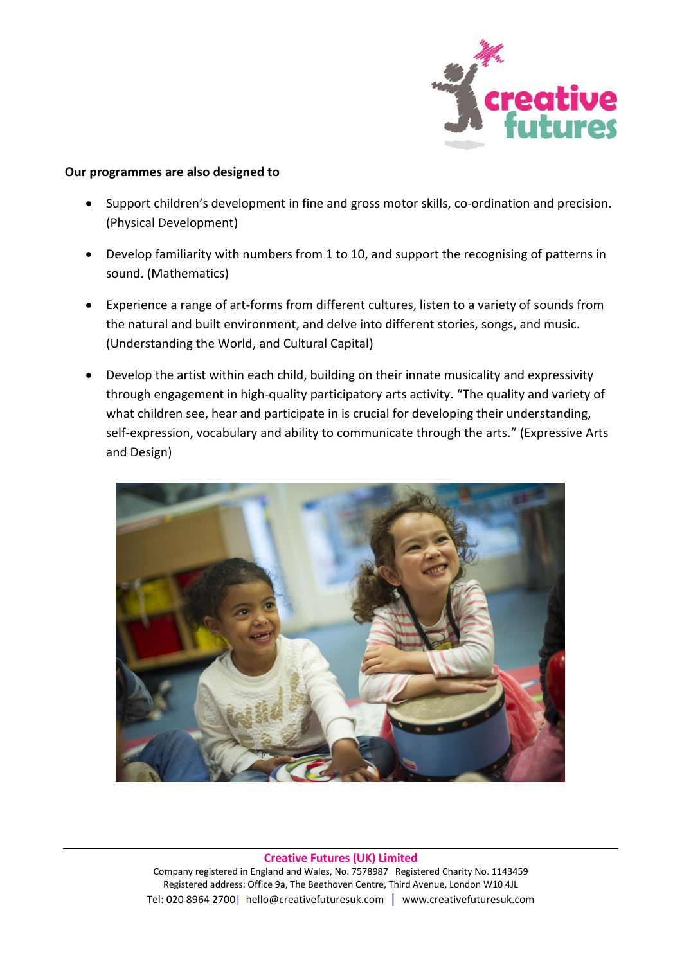

#### **Our programmes are also designed to**

- Support children's development in fine and gross motor skills, co-ordination and precision. (Physical Development)
- Develop familiarity with numbers from 1 to 10, and support the recognising of patterns in sound. (Mathematics)
- Experience a range of art-forms from different cultures, listen to a variety of sounds from the natural and built environment, and delve into different stories, songs, and music. (Understanding the World, and Cultural Capital)
- Develop the artist within each child, building on their innate musicality and expressivity through engagement in high-quality participatory arts activity. "The quality and variety of what children see, hear and participate in is crucial for developing their understanding, self-expression, vocabulary and ability to communicate through the arts." (Expressive Arts and Design)



**Creative Futures (UK) Limited** Company registered in England and Wales, No. 7578987 Registered Charity No. 1143459 Registered address: Office 9a, The Beethoven Centre, Third Avenue, London W10 4JL Tel: 020 8964 2700| hello@creativefuturesuk.com | [www.creativefuturesuk.com](http://www.creativefuturesuk.com/)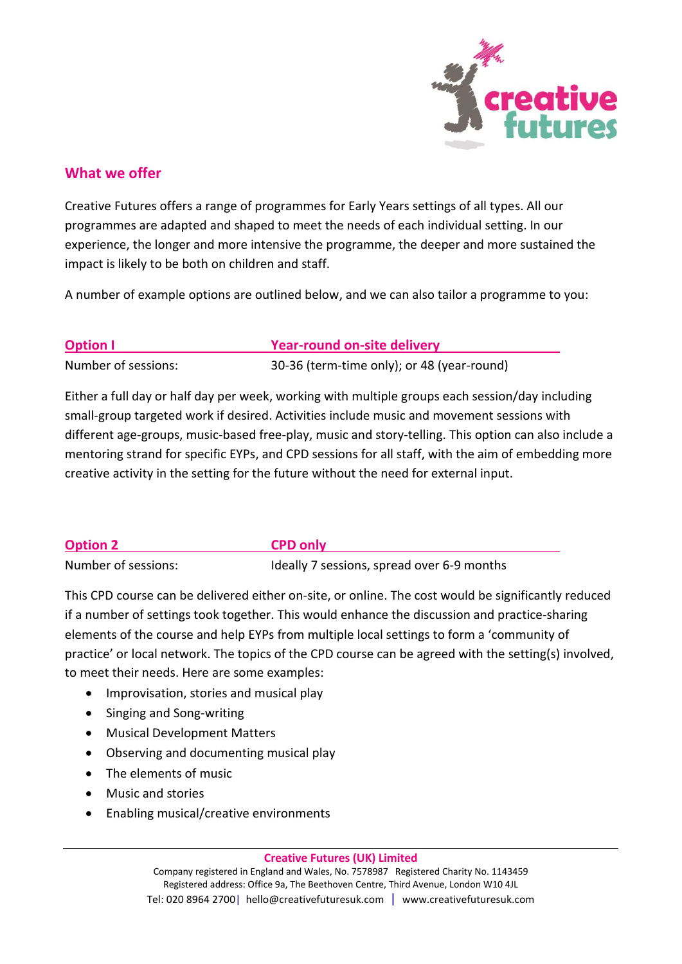

# **What we offer**

Creative Futures offers a range of programmes for Early Years settings of all types. All our programmes are adapted and shaped to meet the needs of each individual setting. In our experience, the longer and more intensive the programme, the deeper and more sustained the impact is likely to be both on children and staff.

A number of example options are outlined below, and we can also tailor a programme to you:

| <b>Option I</b>     | <b>Year-round on-site delivery</b>         |
|---------------------|--------------------------------------------|
| Number of sessions: | 30-36 (term-time only); or 48 (year-round) |

Either a full day or half day per week, working with multiple groups each session/day including small-group targeted work if desired. Activities include music and movement sessions with different age-groups, music-based free-play, music and story-telling. This option can also include a mentoring strand for specific EYPs, and CPD sessions for all staff, with the aim of embedding more creative activity in the setting for the future without the need for external input.

| <b>Option 2</b>     | <b>CPD only</b>                            |
|---------------------|--------------------------------------------|
| Number of sessions: | Ideally 7 sessions, spread over 6-9 months |

This CPD course can be delivered either on-site, or online. The cost would be significantly reduced if a number of settings took together. This would enhance the discussion and practice-sharing elements of the course and help EYPs from multiple local settings to form a 'community of practice' or local network. The topics of the CPD course can be agreed with the setting(s) involved, to meet their needs. Here are some examples:

- Improvisation, stories and musical play
- Singing and Song-writing
- Musical Development Matters
- Observing and documenting musical play
- The elements of music
- Music and stories
- Enabling musical/creative environments

**Creative Futures (UK) Limited**